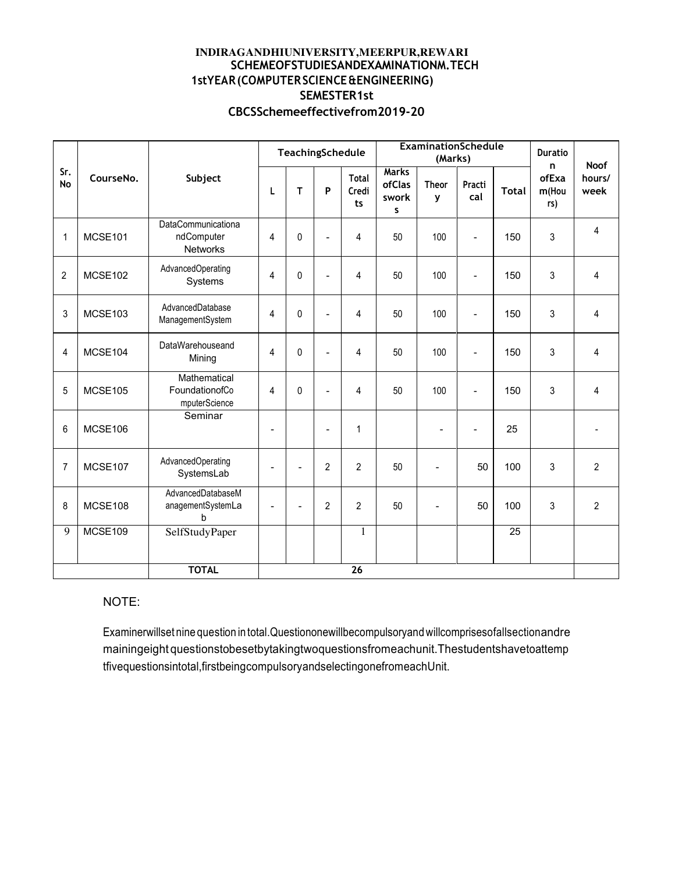### **INDIRAGANDHIUNIVERSITY,MEERPUR,REWARI SCHEMEOFSTUDIESANDEXAMINATIONM.TECH 1stYEAR(COMPUTERSCIENCE&ENGINEERING) SEMESTER1st CBCSSchemeeffectivefrom2019-20**

|                |           |                                                            | TeachingSchedule         |                |                | <b>ExaminationSchedule</b><br>(Marks) |                                      |                          | <b>Duratio</b><br><b>Noof</b><br>n |                 |                       |                |
|----------------|-----------|------------------------------------------------------------|--------------------------|----------------|----------------|---------------------------------------|--------------------------------------|--------------------------|------------------------------------|-----------------|-----------------------|----------------|
| Sr.<br>No      | CourseNo. | Subject                                                    | L                        | T              | P              | Total<br>Credi<br>ts                  | <b>Marks</b><br>ofClas<br>swork<br>S | <b>Theor</b><br>y        | Practi<br>cal                      | <b>Total</b>    | ofExa<br>m(Hou<br>rs) | hours/<br>week |
| $\mathbf 1$    | MCSE101   | <b>DataCommunicationa</b><br>ndComputer<br><b>Networks</b> | 4                        | $\mathbf{0}$   | $\overline{a}$ | 4                                     | 50                                   | 100                      | $\overline{a}$                     | 150             | 3                     | 4              |
| $\overline{2}$ | MCSE102   | AdvancedOperating<br>Systems                               | 4                        | 0              | $\overline{a}$ | 4                                     | 50                                   | 100                      | $\overline{\phantom{0}}$           | 150             | 3                     | 4              |
| 3              | MCSE103   | AdvancedDatabase<br>ManagementSystem                       | 4                        | 0              | $\overline{a}$ | 4                                     | 50                                   | 100                      | $\overline{\phantom{a}}$           | 150             | 3                     | 4              |
| 4              | MCSE104   | DataWarehouseand<br>Mining                                 | 4                        | 0              | $\overline{a}$ | 4                                     | 50                                   | 100                      | $\blacksquare$                     | 150             | 3                     | 4              |
| 5              | MCSE105   | Mathematical<br>FoundationofCo<br>mputerScience            | 4                        | 0              | $\overline{a}$ | 4                                     | 50                                   | 100                      | $\overline{a}$                     | 150             | 3                     | 4              |
| 6              | MCSE106   | Seminar                                                    | $\overline{\phantom{0}}$ |                | $\blacksquare$ | $\mathbf{1}$                          |                                      | $\overline{\phantom{0}}$ | $\blacksquare$                     | 25              |                       |                |
| 7              | MCSE107   | AdvancedOperating<br>SystemsLab                            |                          |                | $\overline{2}$ | $\overline{2}$                        | 50                                   |                          | 50                                 | 100             | 3                     | $\overline{2}$ |
| 8              | MCSE108   | AdvancedDatabaseM<br>anagementSystemLa<br>b                | $\overline{a}$           | $\blacksquare$ | $\overline{2}$ | $\overline{2}$                        | 50                                   | $\overline{\phantom{0}}$ | 50                                 | 100             | 3                     | $\overline{2}$ |
| $\overline{9}$ | MCSE109   | SelfStudyPaper                                             |                          |                |                | $\mathbf{1}$                          |                                      |                          |                                    | $\overline{25}$ |                       |                |
|                |           | <b>TOTAL</b>                                               |                          |                |                | 26                                    |                                      |                          |                                    |                 |                       |                |

# NOTE:

Examinerwillset nine question in total.Questiononewillbecompulsoryand willcomprisesofallsectionandre mainingeight questionstobesetbytakingtwoquestionsfromeachunit.Thestudentshavetoattemp tfivequestionsintotal,firstbeingcompulsoryandselectingonefromeachUnit.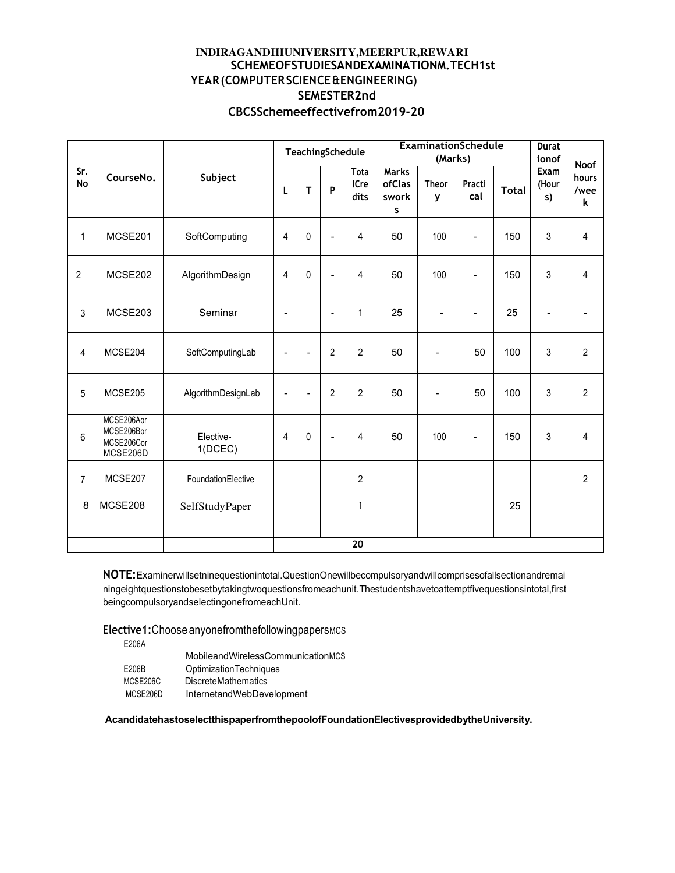### INDIRAGANDHIUNIVERSITY, MEERPUR, REWARI SCHEMEOFSTUDIESANDEXAMINATIONM.TECH1st YEAR (COMPUTER SCIENCE & ENGINEERING) SEMESTER2nd CBCSSchemeeffectivefrom2019-20

|                |                                                    |                      |                              | TeachingSchedule         |                          |                             | <b>ExaminationSchedule</b><br>(Marks) |                          | <b>Durat</b><br>ionof    |              |                     |                                   |
|----------------|----------------------------------------------------|----------------------|------------------------------|--------------------------|--------------------------|-----------------------------|---------------------------------------|--------------------------|--------------------------|--------------|---------------------|-----------------------------------|
| Sr.<br>No      | CourseNo.                                          | Subject              | L                            | T                        | P                        | <b>Tota</b><br>ICre<br>dits | <b>Marks</b><br>ofClas<br>swork<br>S  | <b>Theor</b><br>y        | Practi<br>cal            | <b>Total</b> | Exam<br>(Hour<br>s) | <b>Noof</b><br>hours<br>/wee<br>k |
| 1              | MCSE201                                            | SoftComputing        | 4                            | $\mathbf{0}$             | $\overline{\phantom{0}}$ | 4                           | 50                                    | 100                      | $\blacksquare$           | 150          | 3                   | 4                                 |
| $\overline{2}$ | MCSE202                                            | AlgorithmDesign      | $\overline{4}$               | $\mathbf{0}$             | $\overline{\phantom{0}}$ | 4                           | 50                                    | 100                      | $\blacksquare$           | 150          | 3                   | 4                                 |
| 3              | MCSE203                                            | Seminar              | $\qquad \qquad \blacksquare$ |                          | $\overline{a}$           | 1                           | 25                                    | $\overline{\phantom{a}}$ | $\overline{\phantom{0}}$ | 25           | $\blacksquare$      |                                   |
| 4              | MCSE204                                            | SoftComputingLab     | $\overline{\phantom{a}}$     | $\overline{\phantom{a}}$ | $\overline{2}$           | $\overline{2}$              | 50                                    | $\overline{\phantom{a}}$ | 50                       | 100          | 3                   | $\overline{c}$                    |
| 5              | MCSE205                                            | AlgorithmDesignLab   | $\qquad \qquad \blacksquare$ |                          | $\overline{2}$           | $\overline{2}$              | 50                                    |                          | 50                       | 100          | 3                   | $\overline{2}$                    |
| 6              | MCSE206Aor<br>MCSE206Bor<br>MCSE206Cor<br>MCSE206D | Elective-<br>1(DCEC) | $\overline{4}$               | 0                        | $\overline{\phantom{0}}$ | 4                           | 50                                    | 100                      |                          | 150          | 3                   | 4                                 |
| $\overline{7}$ | MCSE207                                            | FoundationElective   |                              |                          |                          | $\overline{2}$              |                                       |                          |                          |              |                     | $\overline{2}$                    |
| 8              | MCSE208                                            | SelfStudyPaper       |                              |                          |                          | 1                           |                                       |                          |                          | 25           |                     |                                   |
|                |                                                    |                      |                              |                          |                          | $\overline{20}$             |                                       |                          |                          |              |                     |                                   |

NOTE: Examinerwillsetninequestionintotal. QuestionOnewillbecompulsoryandwillcomprisesofallsectionandremai ningeightquestionstobesetbytakingtwoquestionsfromeachunit. Thestudentshavetoattemptfivequestionsintotal, first beingcompulsoryandselectingonefromeachUnit.

Elective1: Choose anyonefrom the following papers MCs

E206A

|          | MobileandWirelessCommunicationMCS |
|----------|-----------------------------------|
| E206B    | <b>OptimizationTechniques</b>     |
| MCSE206C | <b>DiscreteMathematics</b>        |
| MCSE206D | InternetandWebDevelopment         |

AcandidatehastoselectthispaperfromthepoolofFoundationElectivesprovidedbytheUniversity.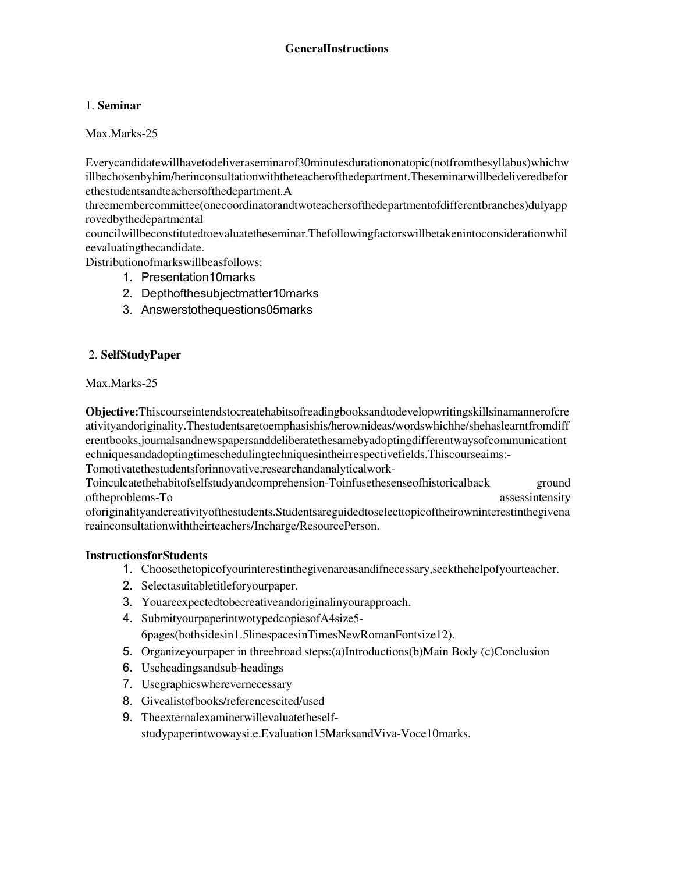# 1. **Seminar**

Max.Marks-25

Everycandidatewillhavetodeliveraseminarof30minutesdurationonatopic(notfromthesyllabus)whichw illbechosenbyhim/herinconsultationwiththeteacherofthedepartment.Theseminarwillbedeliveredbefor ethestudentsandteachersofthedepartment.A

threemembercommittee(onecoordinatorandtwoteachersofthedepartmentofdifferentbranches)dulyapp rovedbythedepartmental

councilwillbeconstitutedtoevaluatetheseminar.Thefollowingfactorswillbetakenintoconsiderationwhil eevaluatingthecandidate.

Distributionofmarkswillbeasfollows:

- 1. Presentation10marks
- 2. Depthofthesubjectmatter10marks
- 3. Answerstothequestions05marks

# 2. **SelfStudyPaper**

Max.Marks-25

**Objective:**Thiscourseintendstocreatehabitsofreadingbooksandtodevelopwritingskillsinamannerofcre ativityandoriginality.Thestudentsaretoemphasishis/herownideas/wordswhichhe/shehaslearntfromdiff erentbooks,journalsandnewspapersanddeliberatethesamebyadoptingdifferentwaysofcommunicationt echniquesandadoptingtimeschedulingtechniquesintheirrespectivefields.Thiscourseaims:- Tomotivatethestudentsforinnovative,researchandanalyticalwork-

Toinculcatethehabitofselfstudyandcomprehension-Toinfusethesenseofhistoricalback ground oftheproblems-To assessintensity assessintensity

oforiginalityandcreativityofthestudents.Studentsareguidedtoselecttopicoftheirowninterestinthegivena reainconsultationwiththeirteachers/Incharge/ResourcePerson.

### **InstructionsforStudents**

- 1. Choosethetopicofyourinterestinthegivenareasandifnecessary,seekthehelpofyourteacher.
- 2. Selectasuitabletitleforyourpaper.
- 3. Youareexpectedtobecreativeandoriginalinyourapproach.
- 4. SubmityourpaperintwotypedcopiesofA4size5- 6pages(bothsidesin1.5linespacesinTimesNewRomanFontsize12).
- 5. Organizeyourpaper in threebroad steps:(a)Introductions(b)Main Body (c)Conclusion
- 6. Useheadingsandsub-headings
- 7. Usegraphicswherevernecessary
- 8. Givealistofbooks/referencescited/used
- 9. Theexternalexaminerwillevaluatetheselfstudypaperintwowaysi.e.Evaluation15MarksandViva-Voce10marks.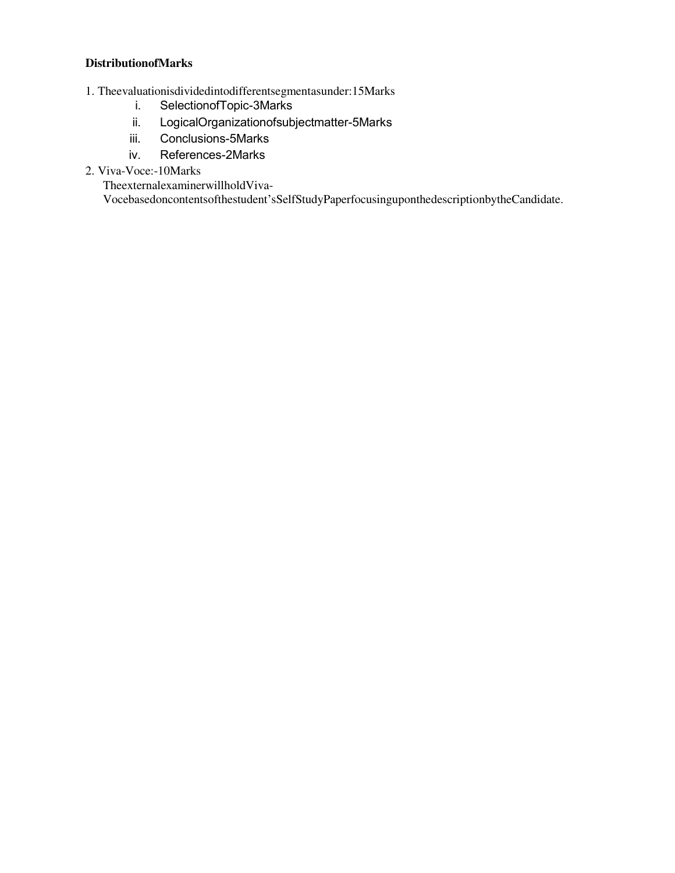### **DistributionofMarks**

- 1. Theevaluationisdividedintodifferentsegmentasunder:15Marks
	- i. SelectionofTopic-3Marks
	- ii. LogicalOrganizationofsubjectmatter-5Marks
	- iii. Conclusions-5Marks
	- iv. References-2Marks
- 2. Viva-Voce:-10Marks

TheexternalexaminerwillholdViva-

Vocebasedoncontentsofthestudent'sSelfStudyPaperfocusinguponthedescriptionbytheCandidate.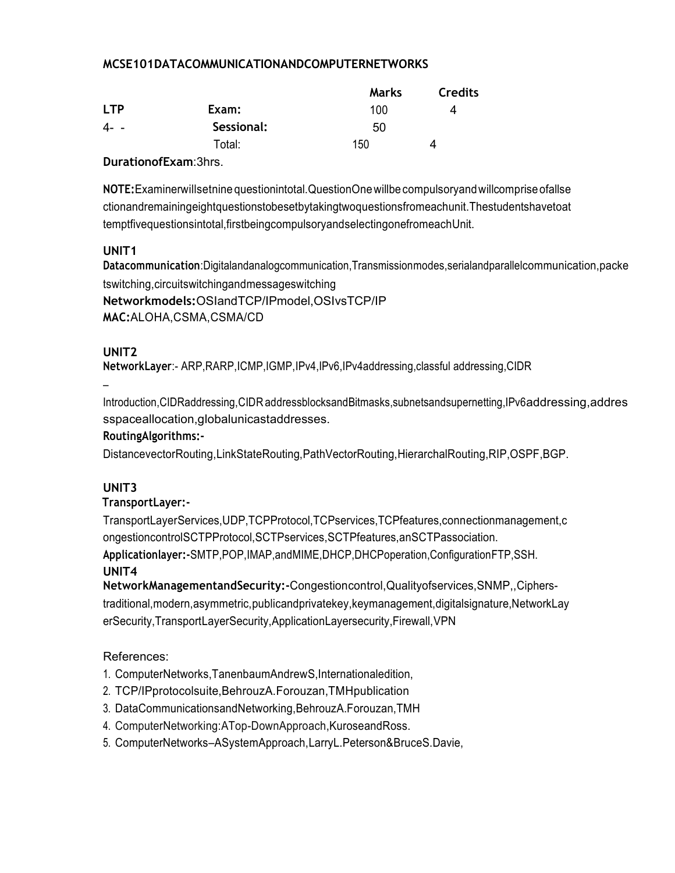# MCSE101DATACOMMUNICATIONANDCOMPUTERNETWORKS

|            |            | <b>Marks</b> | <b>Credits</b> |
|------------|------------|--------------|----------------|
| <b>LTP</b> | Exam:      | 100          | 4              |
| $4 - -$    | Sessional: | 50           |                |
|            | Total:     | 150          |                |

### DurationofExam:3hrs.

NOTE: Examinerwillsetnine questionintotal. Question One will be compulsory and will comprise of all se ctionandremainingeightquestionstobesetbytakingtwoquestionsfromeachunit. Thestudentshavetoat temptfivequestionsintotal, firstbeingcompulsoryandselectingonefromeachUnit.

# UNIT<sub>1</sub>

Datacommunication:Digitalandanalogcommunication, Transmissionmodes, serialandparallelcommunication, packe tswitching, circuitswitching and messages witching

Networkmodels: OSlandTCP/IPmodel, OSIvsTCP/IP MAC: ALOHA, CSMA, CSMA/CD

# UNIT<sub>2</sub>

NetworkLayer:- ARP, RARP, ICMP, IGMP, IPv4, IPv6, IPv4addressing, classful addressing, CIDR

Introduction, CIDRaddressing, CIDR addressblocksandBitmasks, subnetsandsupernetting, IPv6addressing, addres sspaceallocation, global unicastad dresses.

# RoutingAlgorithms:-

DistancevectorRouting,LinkStateRouting,PathVectorRouting,HierarchalRouting,RIP,OSPF,BGP.

# UNIT<sub>3</sub>

# TransportLayer:-

TransportLayerServices, UDP, TCPProtocol, TCPservices, TCPfeatures, connectionmanagement, c ongestioncontrolSCTPProtocol,SCTPservices,SCTPfeatures,anSCTPassociation.

Applicationlayer:-SMTP,POP,IMAP,andMIME,DHCP,DHCPoperation,ConfigurationFTP,SSH.

# UNIT4

NetworkManagementandSecurity:-Congestioncontrol,Qualityofservices,SNMP,,Cipherstraditional, modern, asymmetric, publicand private key, keyman agement, digital signature, Network Lay erSecurity, TransportLayerSecurity, ApplicationLayersecurity, Firewall, VPN

- 1. ComputerNetworks, TanenbaumAndrewS, Internationaledition,
- 2. TCP/IPprotocolsuite, BehrouzA. Forouzan, TMHpublication
- 3. DataCommunicationsandNetworking,BehrouzA.Forouzan,TMH
- 4. ComputerNetworking:ATop-DownApproach,KuroseandRoss.
- 5. ComputerNetworks-ASystemApproach, LarryL. Peterson&BruceS. Davie,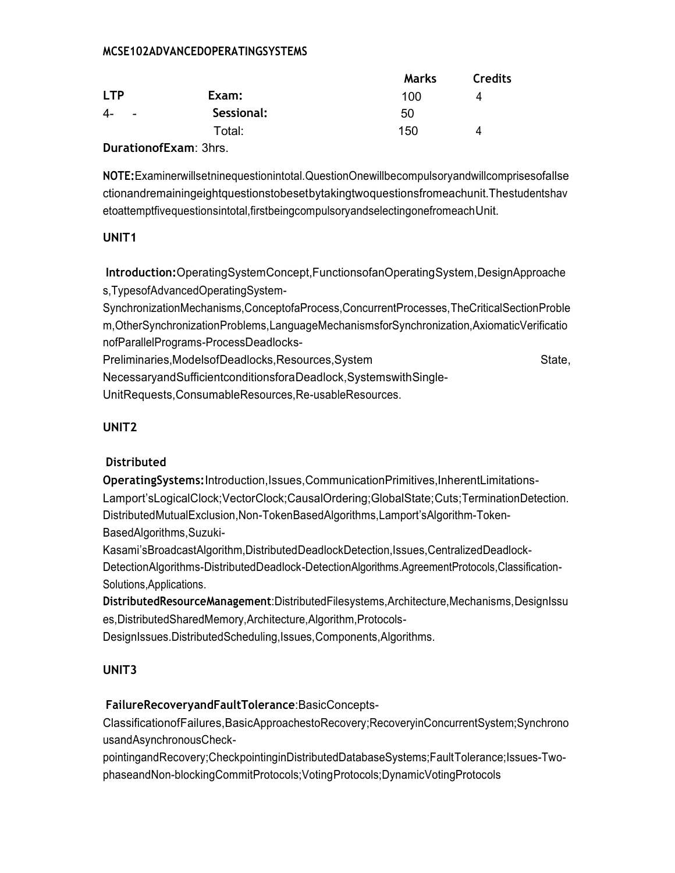# MCSE102ADVANCEDOPERATINGSYSTEMS

|              |            | Marks | <b>Credits</b> |
|--------------|------------|-------|----------------|
| <b>LTP</b>   | Exam:      | 100   | 4              |
| 4-<br>$\sim$ | Sessional: | 50    |                |
|              | Total:     | 150   | 4              |

DurationofExam: 3hrs.

NOTE: Examinerwillsetninequestionintotal. QuestionOnewillbecompulsoryandwillcomprisesofallse ctionandremainingeightquestionstobesetbytakingtwoquestionsfromeachunit. Thestudentshav etoattemptfivequestionsintotal, firstbeingcompulsoryandselectingonefromeach Unit.

# UNIT1

Introduction:OperatingSystemConcept,FunctionsofanOperatingSystem,DesignApproache s, TypesofAdvancedOperatingSystem-

SynchronizationMechanisms,ConceptofaProcess,ConcurrentProcesses,TheCriticalSectionProble m.OtherSynchronizationProblems.LanguageMechanismsforSynchronization.AxiomaticVerificatio nofParallelPrograms-ProcessDeadlocks-

Preliminaries, ModelsofDeadlocks, Resources, System State. NecessaryandSufficientconditionsforaDeadlock,SystemswithSingle-

UnitRequests, ConsumableResources, Re-usableResources.

# UNIT<sub>2</sub>

# **Distributed**

OperatingSystems:Introduction,Issues,CommunicationPrimitives,InherentLimitations-Lamport'sLogicalClock;VectorClock;CausalOrdering;GlobalState;Cuts;TerminationDetection. DistributedMutualExclusion,Non-TokenBasedAlgorithms,Lamport'sAlgorithm-Token-BasedAlgorithms, Suzuki-

Kasami'sBroadcastAlgorithm,DistributedDeadlockDetection,Issues,CentralizedDeadlock-DetectionAlgorithms-DistributedDeadlock-DetectionAlgorithms.AgreementProtocols.Classification-Solutions, Applications.

Distributed Resource Management: Distributed Filesystems, Architecture, Mechanisms, Design Issu es, Distributed Shared Memory, Architecture, Algorithm, Protocols-DesignIssues.DistributedScheduling,Issues,Components,Algorithms.

# UNIT<sub>3</sub>

# FailureRecoveryandFaultTolerance:BasicConcepts-

ClassificationofFailures.BasicApproachestoRecovery:RecoveryinConcurrentSystem:Synchrono usandAsynchronousCheck-

pointingandRecovery;CheckpointinginDistributedDatabaseSystems;FaultTolerance;Issues-TwophaseandNon-blockingCommitProtocols;VotingProtocols;DynamicVotingProtocols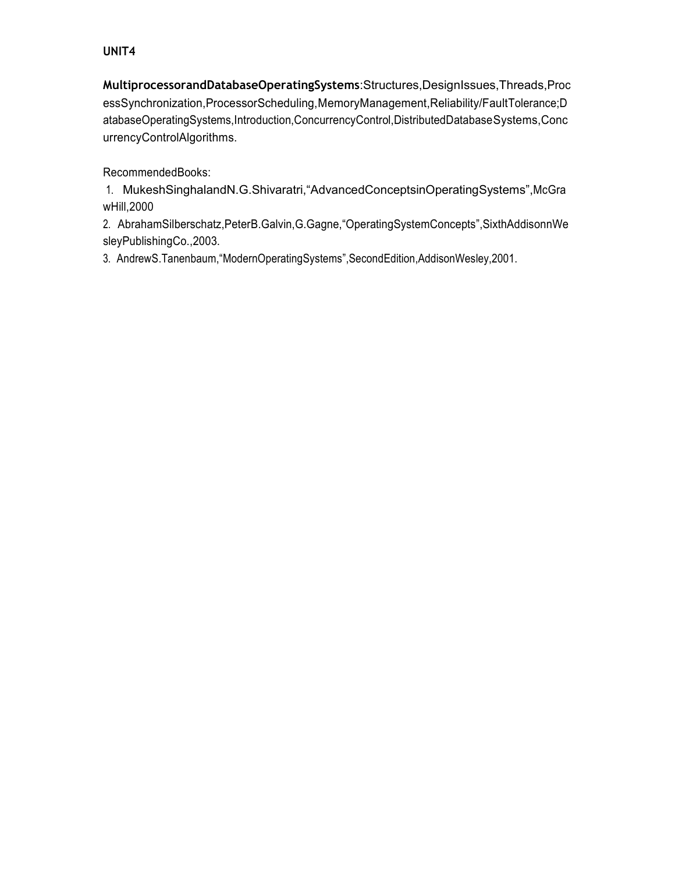# **UNIT4**

**MultiprocessorandDatabaseOperatingSystems**:Structures,DesignIssues,Threads,Proc essSynchronization,ProcessorScheduling,MemoryManagement,Reliability/FaultTolerance;D atabaseOperatingSystems,Introduction,ConcurrencyControl,DistributedDatabaseSystems,Conc urrencyControlAlgorithms.

RecommendedBooks:

1. MukeshSinghalandN.G.Shivaratri,"AdvancedConceptsinOperatingSystems",McGra wHill,2000

2. AbrahamSilberschatz,PeterB.Galvin,G.Gagne,"OperatingSystemConcepts",SixthAddisonnWe sleyPublishingCo.,2003.

3. AndrewS.Tanenbaum,"ModernOperatingSystems",SecondEdition,AddisonWesley,2001.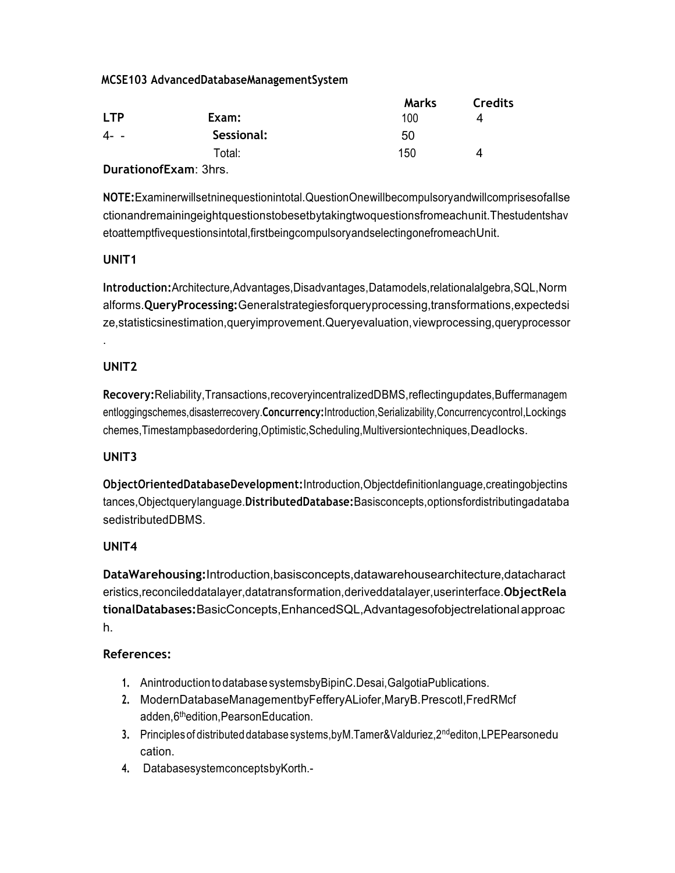# MCSE103 AdvancedDatabaseManagementSystem

|            |                              | <b>Marks</b> | <b>Credits</b> |
|------------|------------------------------|--------------|----------------|
| <b>LTP</b> | Exam:                        | 100          | 4              |
| 4--        | Sessional:                   | 50           |                |
|            | Total:                       | 150          | Δ              |
|            | <b>DurationofExam: 3hrs.</b> |              |                |

NOTE: Examinerwillsetninequestionintotal. Question Onewill becompulsory and will comprises of all se ctionandremainingeightquestionstobesetbytakingtwoquestionsfromeachunit. Thestudentshav etoattemptfivequestionsintotal, firstbeingcompulsoryandselectingonefromeachUnit.

# UNIT<sub>1</sub>

Introduction: Architecture, Advantages, Disadvantages, Datamodels, relational algebra, SQL, Norm alforms. QueryProcessing: Generalstrategiesforgueryprocessing, transformations, expectedsi ze,statisticsinestimation, queryimprovement. Queryevaluation, viewprocessing, queryprocessor

# UNIT<sub>2</sub>

Recovery: Reliability, Transactions, recovery incentralized DBMS, reflectingupdates, Buffermanagem entloggingschemes, disasterrecovery. Concurrency: Introduction, Serializability, Concurrency control, Lockings chemes, Timestampbasedordering, Optimistic, Scheduling, Multiversiontechniques, Deadlocks.

# UNIT<sub>3</sub>

ObjectOrientedDatabaseDevelopment:Introduction,Objectdefinitionlanguage,creatingobjectins tances, Objectquerylanguage. Distributed Database: Basisconcepts, optionsfordistributing adataba sedistributedDBMS.

# UNIT4

DataWarehousing: Introduction, basisconcepts, datawarehousearchitecture, datacharact eristics, reconciled datalayer, data transformation, derived datalayer, user interface. Object Rela tionalDatabases: BasicConcepts, EnhancedSQL, Advantagesofobjectrelational approac h.

- 1. Anintroduction to database systemsby BipinC. Desai, Galgotia Publications.
- 2. ModernDatabaseManagementbyFefferyALiofer,MaryB.Prescotl,FredRMcf adden, 6the dition, Pearson Education.
- 3. Principles of distributed database systems.byM.Tamer&Valduriez.2<sup>nd</sup>editon.LPEPearsonedu cation.
- 4. DatabasesystemconceptsbyKorth.-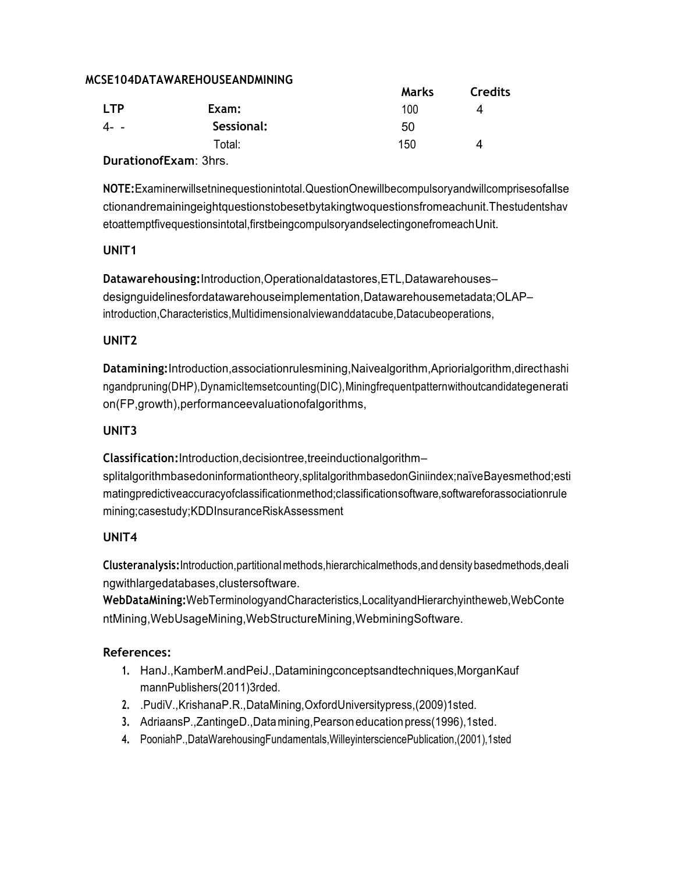# MCSE104DATAWAREHOUSEANDMINING

|               |            | <b>Marks</b> | <b>Credits</b> |
|---------------|------------|--------------|----------------|
| <b>LTP</b>    | Exam:      | 100          | 4              |
| 4--           | Sessional: | 50           |                |
|               | Total:     | 150          | 4              |
| $\sim$ $\sim$ | - -        |              |                |

**DurationofExam: 3hrs.** 

NOTE: Examinerwillsetninequestionintotal. QuestionOnewillbecompulsoryandwillcomprisesofallse ctionandremainingeightquestionstobesetbytakingtwoquestionsfromeachunit. Thestudentshav etoattemptfivequestionsintotal,firstbeingcompulsoryandselectingonefromeachUnit.

# UNIT<sub>1</sub>

Datawarehousing: Introduction, Operationaldatastores, ETL, Datawarehousesdesignguidelinesfordatawarehouseimplementation, Datawarehousemetadata; OLAPintroduction, Characteristics, Multidimensional viewand datacube, Datacube operations,

# UNIT<sub>2</sub>

Datamining: Introduction, associationrulesmining, Naivealgorithm, Apriorialgorithm, directhashi ngandpruning(DHP),DynamicItemsetcounting(DIC),Miningfrequentpatternwithoutcandidategenerati on(FP,growth),performanceevaluationofalgorithms,

# UNIT<sub>3</sub>

Classification: Introduction, decisiontree, tree inductional gorithm-

splitalgorithmbasedoninformationtheory,splitalgorithmbasedonGiniindex;naïveBayesmethod;esti matingpredictiveaccuracyofclassificationmethod;classificationsoftware,softwareforassociationrule mining;casestudy;KDDInsuranceRiskAssessment

# UNIT4

Clusteranalysis: Introduction, partitional methods, hierarchicalmethods, and density basedmethods, deali nawithlargedatabases.clustersoftware.

WebDataMining:WebTerminologyandCharacteristics,LocalityandHierarchyintheweb,WebConte ntMining, WebUsageMining, WebStructureMining, WebminingSoftware.

- 1. HanJ., KamberM.and PeiJ., Datamining concepts and techniques, Morgan Kauf mannPublishers(2011)3rded.
- 2. .PudiV.,KrishanaP.R.,DataMining,OxfordUniversitypress,(2009)1sted.
- 3. AdriaansP., ZantingeD., Data mining, Pearson education press (1996), 1sted.
- 4. PooniahP., DataWarehousingFundamentals, WilleyintersciencePublication, (2001), 1sted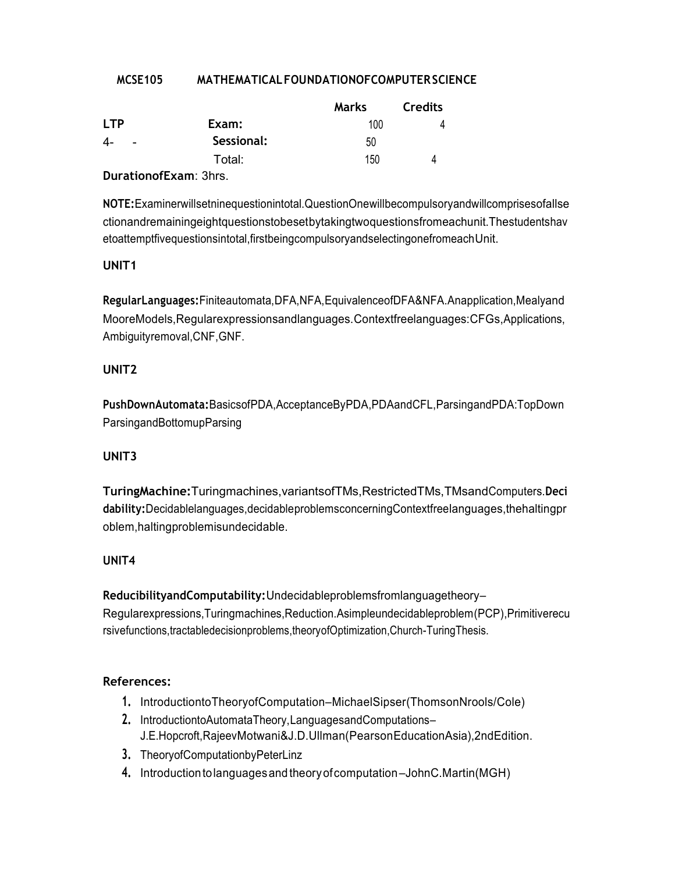#### **MCSE105** MATHEMATICAL FOUNDATIONOFCOMPUTER SCIENCE

|                                                                                  |            | Marks | <b>Credits</b> |
|----------------------------------------------------------------------------------|------------|-------|----------------|
| <b>LTP</b>                                                                       | Exam:      | 100   |                |
| 4-<br>$\sim$                                                                     | Sessional: | 50    |                |
|                                                                                  | Total:     | 150   |                |
| $\mathbf{D}$ and $\mathbf{D}$ are $\mathbf{E}$ and $\mathbf{D}$ and $\mathbf{D}$ |            |       |                |

**DurationofExam: 3hrs.** 

NOTE: Examinerwillsetninequestionintotal. QuestionOnewillbecompulsoryandwillcomprisesofallse ctionandremainingeightguestionstobesetbytakingtwoguestionsfromeachunit. Thestudentshav etoattemptfivequestionsintotal, firstbeingcompulsoryandselectingonefromeachUnit.

# UNIT<sub>1</sub>

RegularLanguages: Finiteautomata, DFA, NFA, Equivalence of DFA&NFA. Anapplication, Mealyand MooreModels, Regularexpressionsandlanguages. Contextfreelanguages: CFGs, Applications, Ambiguityremoval, CNF, GNF.

# UNIT<sub>2</sub>

PushDownAutomata:BasicsofPDA,AcceptanceByPDA,PDAandCFL,ParsingandPDA:TopDown ParsingandBottomupParsing

### UNIT<sub>3</sub>

TuringMachine: Turingmachines, variantsofTMs, RestrictedTMs, TMsandComputers.Deci dability: Decidablelanguages, decidable problems concerning Context freelanguages, the halting pr oblem, halting problem is undecidable.

### UNIT4

ReducibilityandComputability:Undecidableproblemsfromlanguagetheory-Regularexpressions, Turingmachines, Reduction. Asimpleundecidableproblem (PCP), Primitiverecu rsivefunctions, tractabledecisionproblems, theory of Optimization, Church-Turing Thesis.

- 1. IntroductiontoTheoryofComputation–MichaelSipser(ThomsonNrools/Cole)
- 2. IntroductiontoAutomataTheory,LanguagesandComputations-J.E.Hopcroft, RajeevMotwani&J.D.UIIman(PearsonEducationAsia), 2ndEdition.
- 3. TheoryofComputationbyPeterLinz
- 4. Introduction to languages and theory of computation John C. Martin (MGH)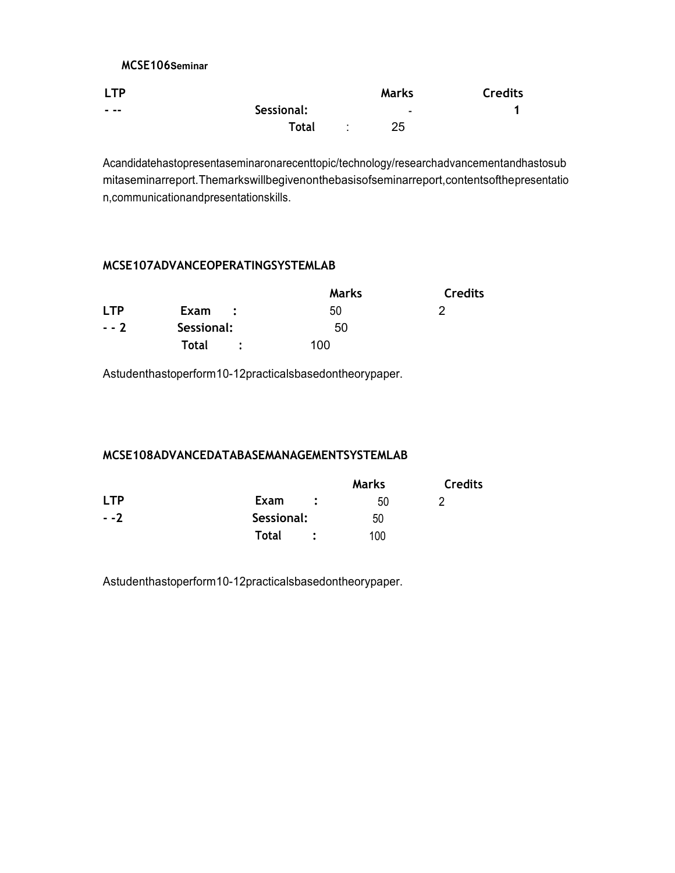# **MCSE106Seminar**

| <b>LTP</b> |              | Marks          | <b>Credits</b> |
|------------|--------------|----------------|----------------|
| - --       | Sessional:   | $\blacksquare$ |                |
|            | <b>Total</b> | 25             |                |

Acandidatehastopresentaseminaronarecenttopic/technology/researchadvancementandhastosub mitaseminarreport.Themarkswillbegivenonthebasisofseminarreport,contentsofthepresentatio n,communicationandpresentationskills.

### **MCSE107ADVANCEOPERATINGSYSTEMLAB**

|            |                                     | Marks | <b>Credits</b> |
|------------|-------------------------------------|-------|----------------|
| <b>LTP</b> | Exam<br>$\mathcal{L} = \mathcal{L}$ | 50    |                |
| $- - 2$    | Sessional:                          | 50    |                |
|            | Total                               | 100   |                |

Astudenthastoperform10-12practicalsbasedontheorypaper.

### **MCSE108ADVANCEDATABASEMANAGEMENTSYSTEMLAB**

|            |                      | Marks | <b>Credits</b> |
|------------|----------------------|-------|----------------|
| <b>LTP</b> | Exam<br>$\mathbf{L}$ | 50    |                |
| $- -2$     | Sessional:           | 50    |                |
|            | Total                | 100   |                |

Astudenthastoperform10-12practicalsbasedontheorypaper.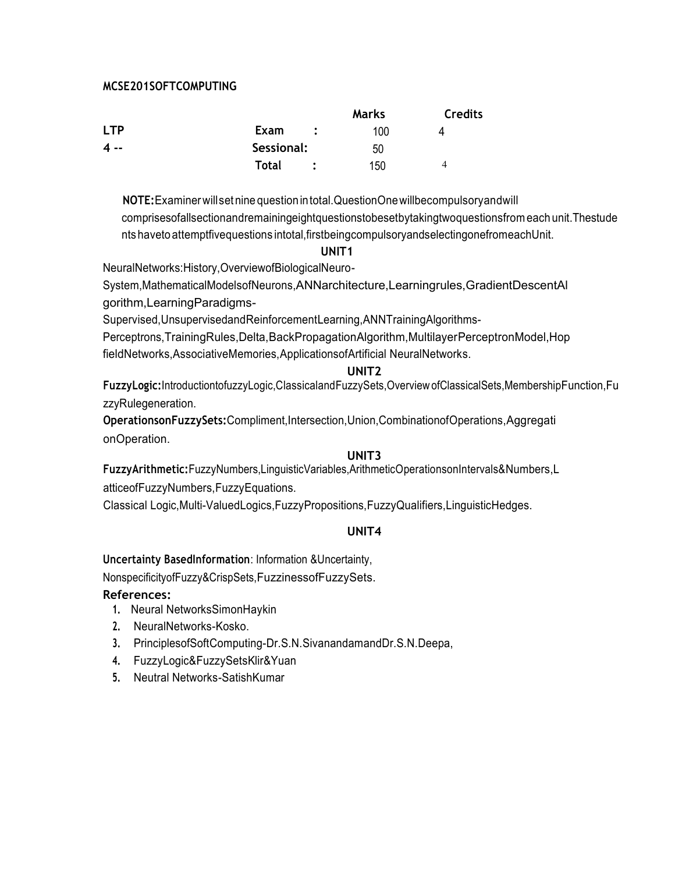### **MCSE201SOFTCOMPUTING**

|       |                              | Marks | <b>Credits</b> |
|-------|------------------------------|-------|----------------|
| I TP  | Exam<br>$\ddot{\phantom{1}}$ | 100   | Δ              |
| $4 -$ | Sessional:                   | 50    |                |
|       | <b>Total</b>                 | 150   | 4              |

**NOTE:**Examinerwillset nine questionintotal.QuestionOnewillbecompulsoryandwill comprisesofallsectionandremainingeightquestionstobesetbytakingtwoquestionsfrom each unit.Thestude nts havetoattemptfivequestions intotal,firstbeingcompulsoryandselectingonefromeachUnit.

#### **UNIT1**

NeuralNetworks:History,OverviewofBiologicalNeuro-

System,MathematicalModelsofNeurons,ANNarchitecture,Learningrules,GradientDescentAl gorithm,LearningParadigms-

Supervised,UnsupervisedandReinforcementLearning,ANNTrainingAlgorithms-

Perceptrons,TrainingRules,Delta,BackPropagationAlgorithm,MultilayerPerceptronModel,Hop fieldNetworks,AssociativeMemories,ApplicationsofArtificial NeuralNetworks.

### **UNIT2**

**FuzzyLogic:**IntroductiontofuzzyLogic,ClassicalandFuzzySets,Overview ofClassicalSets,MembershipFunction,Fu zzyRulegeneration.

**OperationsonFuzzySets:**Compliment,Intersection,Union,CombinationofOperations,Aggregati onOperation.

### **UNIT3**

**FuzzyArithmetic:**FuzzyNumbers,LinguisticVariables,ArithmeticOperationsonIntervals&Numbers,L atticeofFuzzyNumbers,FuzzyEquations.

Classical Logic,Multi-ValuedLogics,FuzzyPropositions,FuzzyQualifiers,LinguisticHedges.

# **UNIT4**

**Uncertainty BasedInformation**: Information &Uncertainty,

NonspecificityofFuzzy&CrispSets,FuzzinessofFuzzySets.

- **1.** Neural NetworksSimonHaykin
- **2.** NeuralNetworks-Kosko.
- **3.** PrinciplesofSoftComputing-Dr.S.N.SivanandamandDr.S.N.Deepa,
- **4.** FuzzyLogic&FuzzySetsKlir&Yuan
- **5.** Neutral Networks-SatishKumar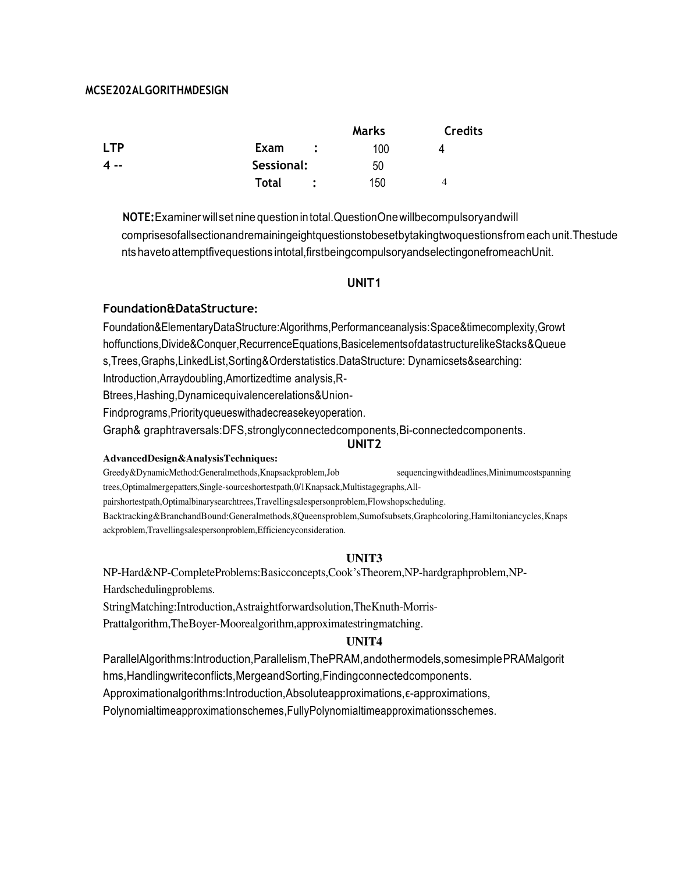### **MCSE202ALGORITHMDESIGN**

|              |            | <b>Marks</b> | <b>Credits</b> |
|--------------|------------|--------------|----------------|
| <b>LTP</b>   | Exam       | 100          | Δ              |
| $\mathbf{A}$ | Sessional: | 50           |                |
|              | Total      | 150          | 4              |

**NOTE:**Examinerwillset nine questionintotal.QuestionOnewillbecompulsoryandwill comprisesofallsectionandremainingeightquestionstobesetbytakingtwoquestionsfrom each unit.Thestude nts havetoattemptfivequestions intotal,firstbeingcompulsoryandselectingonefromeachUnit.

#### **UNIT1**

#### **Foundation&DataStructure:**

Foundation&ElementaryDataStructure:Algorithms,Performanceanalysis:Space&timecomplexity,Growt hoffunctions,Divide&Conquer,RecurrenceEquations,BasicelementsofdatastructurelikeStacks&Queue s,Trees,Graphs,LinkedList,Sorting&Orderstatistics.DataStructure: Dynamicsets&searching:

Introduction,Arraydoubling,Amortizedtime analysis,R-

Btrees,Hashing,Dynamicequivalencerelations&Union-

Findprograms,Priorityqueueswithadecreasekeyoperation.

Graph& graphtraversals:DFS,stronglyconnectedcomponents,Bi-connectedcomponents.

#### **UNIT2**

#### **AdvancedDesign&AnalysisTechniques:**

Greedy&DynamicMethod:Generalmethods,Knapsackproblem,Job sequencingwithdeadlines,Minimumcostspanning trees,Optimalmergepatters,Single-sourceshortestpath,0/1Knapsack,Multistagegraphs,Allpairshortestpath,Optimalbinarysearchtrees,Travellingsalespersonproblem,Flowshopscheduling. Backtracking&BranchandBound:Generalmethods,8Queensproblem,Sumofsubsets,Graphcoloring,Hamiltoniancycles,Knaps ackproblem,Travellingsalespersonproblem,Efficiencyconsideration.

#### **UNIT3**

NP-Hard&NP-CompleteProblems:Basicconcepts,Cook'sTheorem,NP-hardgraphproblem,NP-Hardschedulingproblems.

StringMatching:Introduction,Astraightforwardsolution,TheKnuth-Morris-

Prattalgorithm,TheBoyer-Moorealgorithm,approximatestringmatching.

#### **UNIT4**

ParallelAlgorithms:Introduction,Parallelism,ThePRAM,andothermodels,somesimplePRAMalgorit hms, Handlingwriteconflicts, MergeandSorting, Findingconnected components.

Approximationalgorithms:Introduction,Absoluteapproximations, ε-approximations,

Polynomialtimeapproximationschemes,FullyPolynomialtimeapproximationsschemes.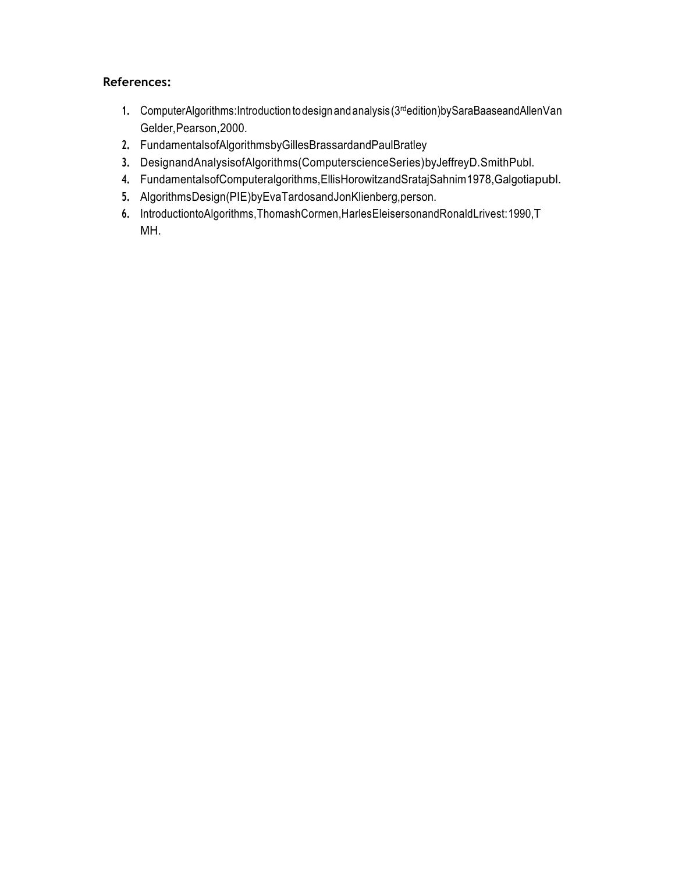- 1. ComputerAlgorithms:Introduction to design and analysis (3<sup>rd</sup>edition)bySaraBaaseandAllenVan Gelder,Pearson,2000.
- **2.** FundamentalsofAlgorithmsbyGillesBrassardandPaulBratley
- **3.** DesignandAnalysisofAlgorithms(ComputerscienceSeries)byJeffreyD.SmithPubl.
- **4.** FundamentalsofComputeralgorithms,EllisHorowitzandSratajSahnim1978,Galgotiapubl.
- **5.** AlgorithmsDesign(PIE)byEvaTardosandJonKlienberg,person.
- **6.** IntroductiontoAlgorithms,ThomashCormen,HarlesEleisersonandRonaldLrivest:1990,T MH.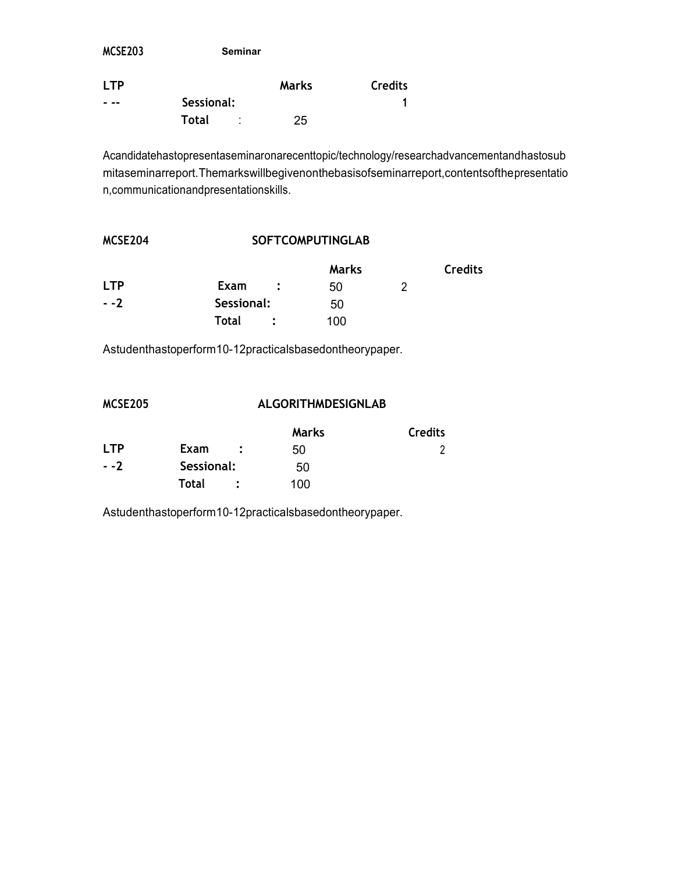| MCSE203    | <b>Seminar</b> |              |                |
|------------|----------------|--------------|----------------|
| <b>LTP</b> |                | <b>Marks</b> | <b>Credits</b> |
|            | Sessional:     |              |                |
|            | Total<br>٠     | 25           |                |

Acandidatehastopresentaseminaronarecenttopic/technology/researchadvancementandhastosub mitaseminarreport.Themarkswillbegivenonthebasisofseminarreport,contentsofthepresentatio n,communicationandpresentationskills.

# **MCSE204 SOFTCOMPUTINGLAB**

|            |                                     | <b>Marks</b> | <b>Credits</b> |
|------------|-------------------------------------|--------------|----------------|
| <b>LTP</b> | Exam<br>$\mathcal{L} = \mathcal{L}$ | 50           |                |
| $- -2$     | Sessional:                          | 50           |                |
|            | Total                               | 100          |                |

Astudenthastoperform10-12practicalsbasedontheorypaper.

# **MCSE205 ALGORITHMDESIGNLAB**

|            |              | <b>Marks</b> | <b>Credits</b> |
|------------|--------------|--------------|----------------|
| <b>LTP</b> | Exam         | 50           |                |
| $- -2$     | Sessional:   | 50           |                |
|            | <b>Total</b> | 100          |                |

Astudenthastoperform10-12practicalsbasedontheorypaper.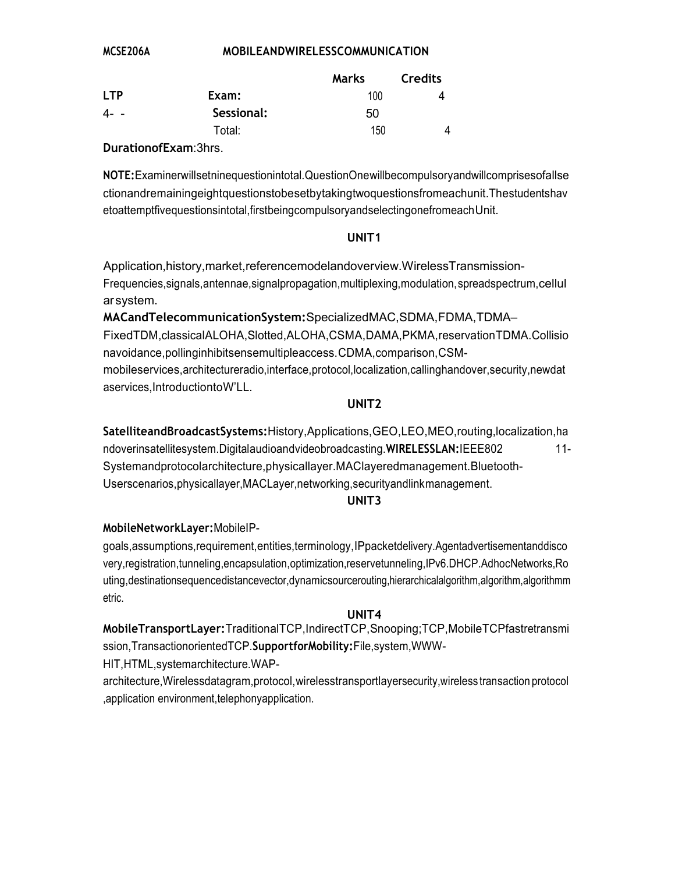# **MOBILEANDWIRELESSCOMMUNICATION**

|            |            | Marks | <b>Credits</b> |
|------------|------------|-------|----------------|
| <b>LTP</b> | Exam:      | 100   |                |
| 4--        | Sessional: | 50    |                |
|            | Total:     | 150   | 4              |

DurationofExam:3hrs.

MCSE206A

NOTE: Examinerwillsetninequestionintotal. QuestionOnewillbecompulsoryandwillcomprisesofallse ctionandremainingeightquestionstobesetbytakingtwoquestionsfromeachunit.Thestudentshav etoattemptfivequestionsintotal,firstbeingcompulsoryandselectingonefromeachUnit.

### UNIT<sub>1</sub>

Application, history, market, referencemodelandoverview. Wireless Transmission-Frequencies, signals, antennae, signal propagation, multiplexing, modulation, spreadspectrum, cellul arsystem.

# MACandTelecommunicationSystem: SpecializedMAC, SDMA, FDMA, TDMA-

FixedTDM,classicalALOHA,Slotted,ALOHA,CSMA,DAMA,PKMA,reservationTDMA.Collisio navoidance, pollinginhibitsensemultipleaccess. CDMA, comparison, CSMmobileservices, architectureradio, interface, protocol, localization, callinghandover, security, newdat aservices, IntroductiontoW'LL.

### UNIT<sub>2</sub>

SatelliteandBroadcastSystems: History, Applications, GEO, LEO, MEO, routing, localization, ha ndoverinsatellitesystem.Digitalaudioandvideobroadcasting.WIRELESSLAN:IEEE802  $11 -$ Systemandprotocolarchitecture, physicallayer.MAClayeredmanagement.Bluetooth-Userscenarios, physicallayer, MACLayer, networking, security and link management.

### UNIT<sub>3</sub>

### MobileNetworkLayer: MobileIP-

goals, assumptions, requirement, entities, terminology, IPpacketdelivery. Agentadvertisementanddisco very, registration, tunneling, encapsulation, optimization, reservetunneling, IPv6.DHCP.AdhocNetworks, Ro uting, destinationsequencedistancevector, dynamicsourcerouting, hierarchicalalgorithm, algorithm, algorithmm etric.

### UNIT4

MobileTransportLayer: TraditionalTCP, IndirectTCP, Snooping; TCP, MobileTCPfastretransmi ssion, Transactionoriented TCP. Supportfor Mobility: File, system, WWW-

HIT, HTML, systemarchitecture. WAP-

architecture, Wirelessdatagram, protocol, wirelesstransportlayersecurity, wireless transaction protocol , application environment, telephonyapplication.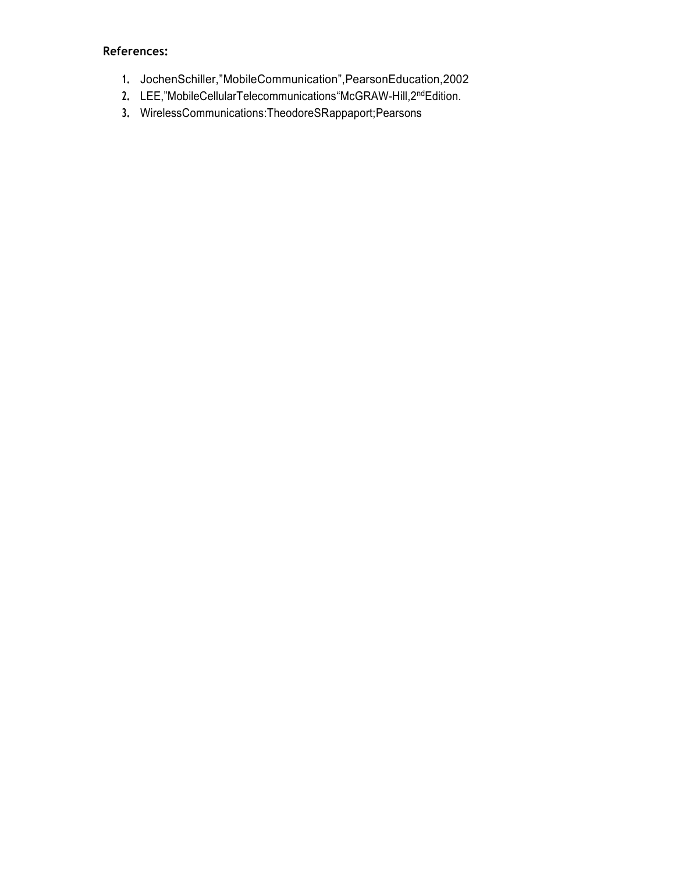- **1.** JochenSchiller,"MobileCommunication",PearsonEducation,2002
- 2. LEE,"MobileCellularTelecommunications"McGRAW-Hill,2<sup>nd</sup>Edition.
- **3.** WirelessCommunications:TheodoreSRappaport;Pearsons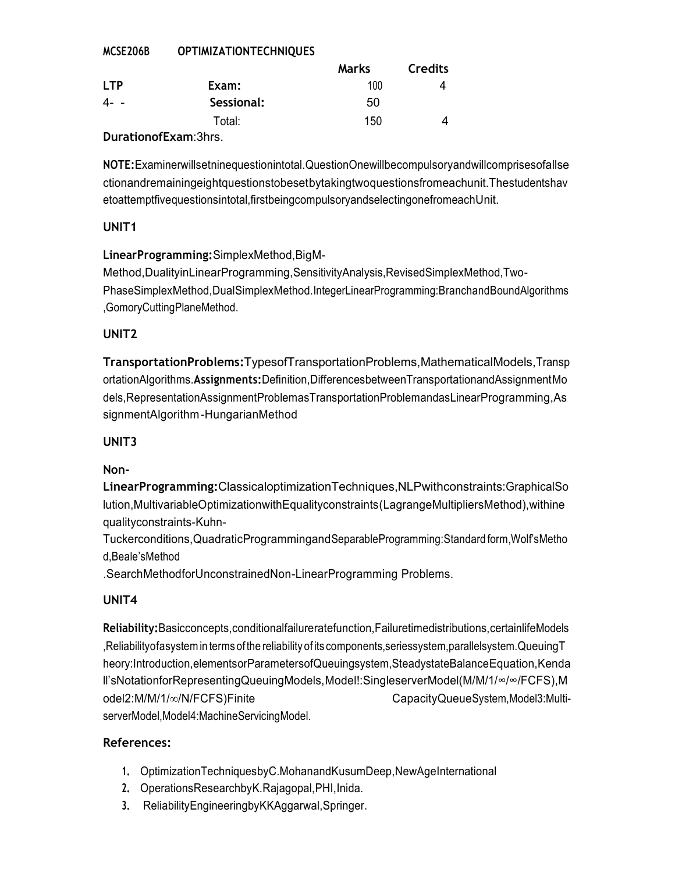#### MCSE206B **OPTIMIZATIONTECHNIQUES**

|                     |            | Marks | <b>Credits</b> |
|---------------------|------------|-------|----------------|
| <b>LTP</b>          | Exam:      | 100   |                |
| 4 -                 | Sessional: | 50    |                |
|                     | Total:     | 150   |                |
| DurationafEvam.2hro |            |       |                |

### DurationofExam:3hrs.

NOTE: Examinerwillsetninequestionintotal. QuestionOnewillbecompulsoryandwillcomprisesofallse ctionandremainingeightquestionstobesetbytakingtwoquestionsfromeachunit. Thestudentshav etoattemptfivequestionsintotal, firstbeingcompulsoryandselectingonefromeachUnit.

# UNIT<sub>1</sub>

# LinearProgramming:SimplexMethod,BigM-

Method, DualityinLinearProgramming, SensitivityAnalysis, RevisedSimplexMethod, Two-PhaseSimplexMethod,DualSimplexMethod.IntegerLinearProgramming:BranchandBoundAlgorithms ,GomoryCuttingPlaneMethod.

# UNIT<sub>2</sub>

TransportationProblems:TypesofTransportationProblems,MathematicalModels,Transp ortationAlgorithms.Assignments:Definition,DifferencesbetweenTransportationandAssignmentMo dels, Representation Assignment Problemas Transportation Problemandas Linear Programming, As signmentAlgorithm-HungarianMethod

# UNIT<sub>3</sub>

# Non-

LinearProgramming:ClassicaloptimizationTechniques,NLPwithconstraints:GraphicalSo lution, MultivariableOptimizationwithEqualityconstraints (LagrangeMultipliersMethod), withine qualityconstraints-Kuhn-

Tuckerconditions, QuadraticProgrammingand SeparableProgramming: Standard form, Wolf's Metho d.Beale'sMethod

.SearchMethodforUnconstrainedNon-LinearProgramming Problems.

# UNIT4

Reliability:Basicconcepts,conditionalfailureratefunction,Failuretimedistributions,certainlifeModels Reliabilityofasystem in terms of the reliability of its components, seriessystem, parallelsystem. Queuing T, heory:Introduction,elementsorParametersofQueuingsystem,SteadystateBalanceEquation,Kenda ll'sNotationforRepresentingQueuingModels,Model!:SingleserverModel(M/M/1/∞/∞/FCFS),M odel2:M/M/1/∞/N/FCFS)Finite CapacityQueueSystem,Model3:MultiserverModel, Model4: MachineServicingModel.

- 1. OptimizationTechniquesbyC.MohanandKusumDeep.NewAgeInternational
- 2. OperationsResearchbyK.Rajagopal,PHI,Inida.
- ReliabilityEngineeringbyKKAggarwal,Springer.  $3.$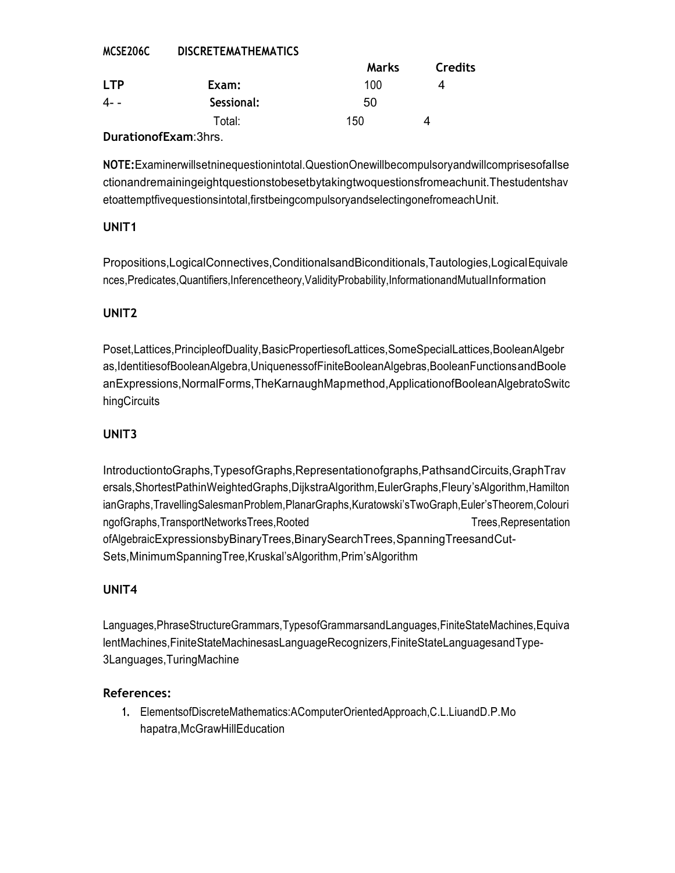| MUSEZUDU   | <b>DISCRETEMATHEMATICS</b> |       |                |
|------------|----------------------------|-------|----------------|
|            |                            | Marks | <b>Credits</b> |
| <b>LTP</b> | Exam:                      | 100   | 4              |
| $4 - -$    | Sessional:                 | 50    |                |
|            | Total:                     | 150   | Δ              |
| . .<br>-   |                            |       |                |

**NICCRETE ULTURILLY TICC** 

### **DurationofExam:3hrs.**

NOTE: Examinerwillsetninequestionintotal. QuestionOnewillbecompulsoryandwillcomprisesofallse ctionandremainingeightquestionstobesetbytakingtwoquestionsfromeachunit. Thestudentshav etoattemptfivequestionsintotal, firstbeingcompulsoryandselectingonefromeachUnit.

# UNIT<sub>1</sub>

 $\frac{1}{2}$ 

Propositions, Logical Connectives, Conditional sand Biconditionals, Tautologies, Logical Equivale nces, Predicates, Quantifiers, Inferencetheory, Validity Probability, Informationand Mutual Information

# UNIT<sub>2</sub>

Poset, Lattices, PrincipleofDuality, BasicProperties of Lattices, SomeSpecialLattices, BooleanAlgebr as,IdentitiesofBooleanAlgebra,UniguenessofFiniteBooleanAlgebras,BooleanFunctionsandBoole anExpressions, NormalForms, TheKarnaughMapmethod, ApplicationofBooleanAlgebratoSwitc hingCircuits

# UNIT<sub>3</sub>

IntroductiontoGraphs,TypesofGraphs,Representationofgraphs,PathsandCircuits,GraphTrav ersals, ShortestPathinWeightedGraphs, DijkstraAlgorithm, EulerGraphs, Fleury's Algorithm, Hamilton ianGraphs, TravellingSalesmanProblem, PlanarGraphs, Kuratowski's TwoGraph, Euler's Theorem, Colouri ngofGraphs, TransportNetworksTrees, Rooted Trees, Representation ofAlgebraicExpressionsbyBinaryTrees,BinarySearchTrees,SpanningTreesandCut-Sets, Minimum Spanning Tree, Kruskal's Algorithm, Prim's Algorithm

# UNIT4

Languages, PhraseStructureGrammars, TypesofGrammarsandLanguages, FiniteStateMachines, Equiva lentMachines, FiniteStateMachinesasLanguageRecognizers, FiniteStateLanguagesandType-3Languages, Turing Machine

# References:

1. ElementsofDiscreteMathematics:AComputerOrientedApproach,C.L.LiuandD.P.Mo hapatra, McGrawHillEducation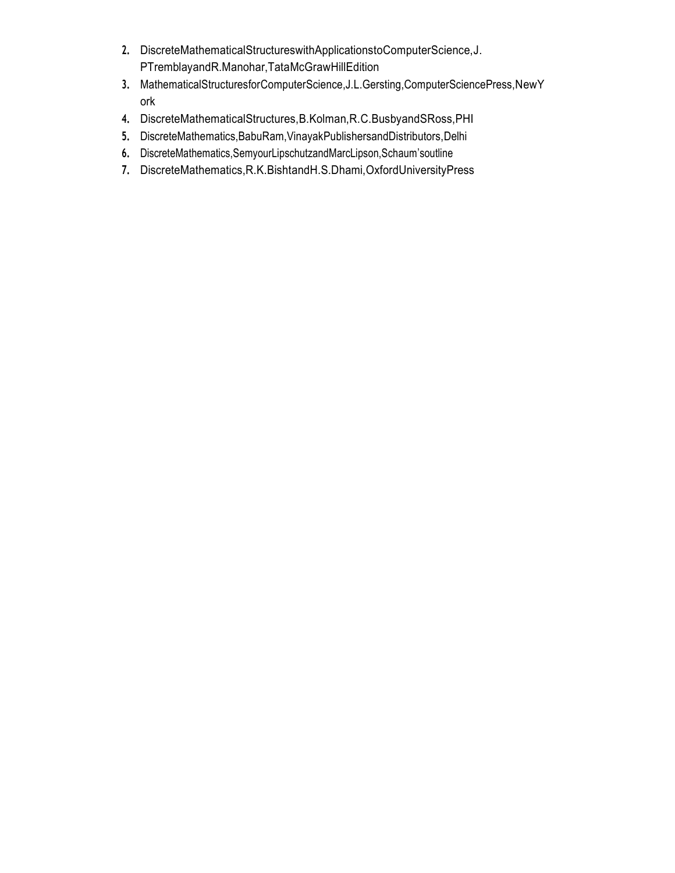- **2.** DiscreteMathematicalStructureswithApplicationstoComputerScience,J. PTremblayandR.Manohar,TataMcGrawHillEdition
- **3.** MathematicalStructuresforComputerScience,J.L.Gersting,ComputerSciencePress,NewY ork
- **4.** DiscreteMathematicalStructures,B.Kolman,R.C.BusbyandSRoss,PHI
- **5.** DiscreteMathematics,BabuRam,VinayakPublishersandDistributors,Delhi
- **6.** DiscreteMathematics,SemyourLipschutzandMarcLipson,Schaum'soutline
- **7.** DiscreteMathematics,R.K.BishtandH.S.Dhami,OxfordUniversityPress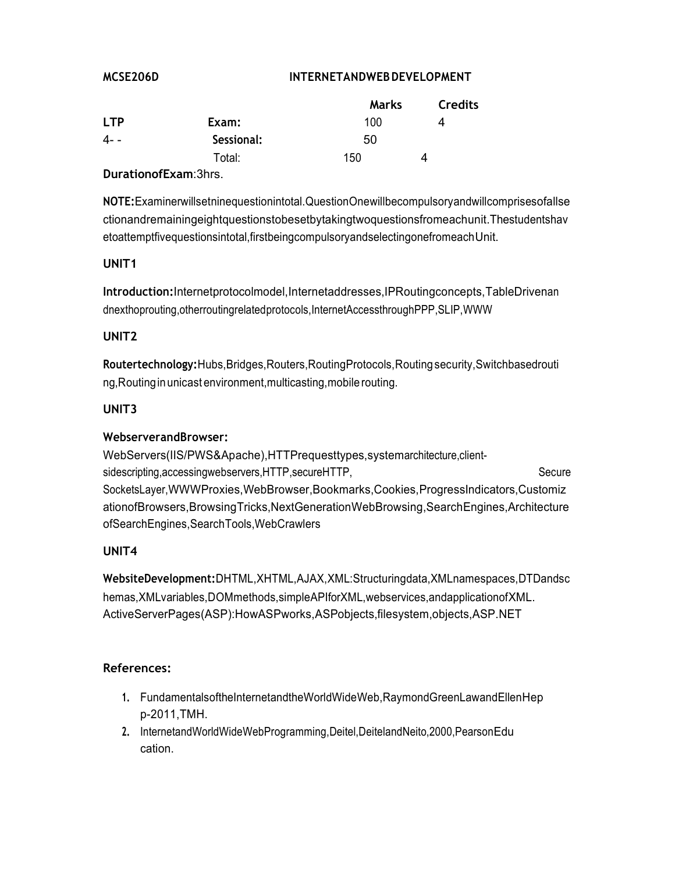#### MCSE206D

### **INTERNETANDWEB DEVELOPMENT**

|            |            | Marks | <b>Credits</b> |
|------------|------------|-------|----------------|
| <b>LTP</b> | Exam:      | 100   | Δ              |
| 4- -       | Sessional: | 50    |                |
|            | Total:     | 150   | Δ              |
|            | - -        |       |                |

### **DurationofExam:3hrs.**

NOTE: Examinerwillsetninequestionintotal. Question Onewill becompulsory and will comprises of all se ctionandremainingeightquestionstobesetbytakingtwoquestionsfromeachunit. Thestudentshav etoattemptfivequestionsintotal, firstbeingcompulsoryandselectingonefromeach Unit.

### UNIT<sub>1</sub>

Introduction:Internetprotocolmodel,Internetaddresses,IPRoutingconcepts,TableDrivenan dnexthoprouting, otherrouting related protocols, Internet AccessthroughPPP, SLIP, WWW

### UNIT<sub>2</sub>

Routertechnology: Hubs, Bridges, Routers, Routing Protocols, Routing security, Switchbasedrouti ng, Routing in unicast environment, multicasting, mobile routing.

### **UNIT3**

### WebserverandBrowser:

WebServers(IIS/PWS&Apache), HTTPrequesttypes, systemarchitecture, clientsidescripting, accessingwebservers, HTTP, secureHTTP, Secure SocketsLayer, WWWProxies, WebBrowser, Bookmarks, Cookies, ProgressIndicators, Customiz ationofBrowsers, Browsing Tricks, NextGeneration WebBrowsing, Search Engines, Architecture ofSearchEngines,SearchTools,WebCrawlers

### UNIT4

WebsiteDevelopment:DHTML,XHTML,AJAX,XML:Structuringdata,XMLnamespaces,DTDandsc hemas, XMLvariables, DOMmethods, simpleAPIforXML, webservices, and application of XML. ActiveServerPages(ASP):HowASPworks.ASPobjects.filesystem.objects.ASP.NET

- 1. FundamentalsoftheInternetandtheWorldWideWeb, RaymondGreenLawandEllenHep p-2011, TMH.
- 2. InternetandWorldWideWebProgramming,Deitel,DeitelandNeito,2000,PearsonEdu cation